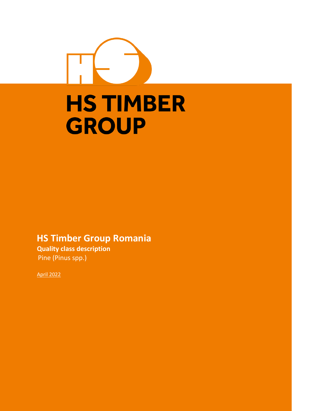# **HS TIMBER GROUP**

# **HS Timber Group Romania**

**Quality class description** Pine (Pinus spp.)

April 2022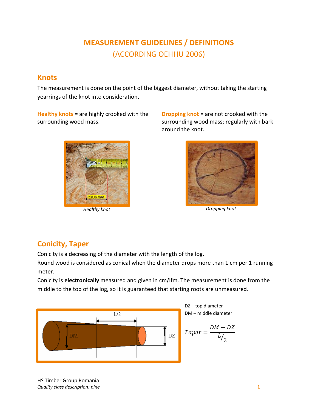# **MEASUREMENT GUIDELINES / DEFINITIONS**  (ACCORDING OEHHU 2006)

#### **Knots**

The measurement is done on the point of the biggest diameter, without taking the starting yearrings of the knot into consideration.

**Healthy knots** = are highly crooked with the surrounding wood mass.



**Dropping knot** = are not crooked with the surrounding wood mass; regularly with bark around the knot.



**Conicity, Taper**

Conicity is a decreasing of the diameter with the length of the log.

Round wood is considered as conical when the diameter drops more than 1 cm per 1 running meter.

Conicity is **electronically** measured and given in cm/lfm. The measurement is done from the middle to the top of the log, so it is guaranteed that starting roots are unmeasured.



HS Timber Group Romania *Quality class description: pine* 1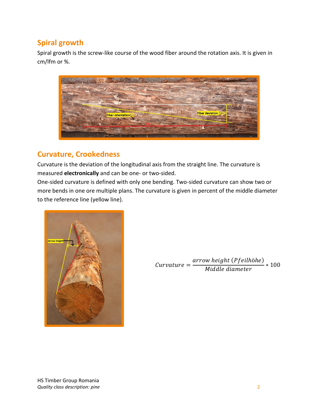## **Spiral growth**

Spiral growth is the screw-like course of the wood fiber around the rotation axis. It is given in cm/lfm or %.



#### **Curvature, Crookedness**

Curvature is the deviation of the longitudinal axis from the straight line. The curvature is measured **electronically** and can be one- or two-sided.

One-sided curvature is defined with only one bending. Two-sided curvature can show two or more bends in one ore multiple plans. The curvature is given in percent of the middle diameter to the reference line (yellow line).



 $Curvature=$ arrow height (Pfeilhöhe)  $\frac{n \log n}{n}$  \* 100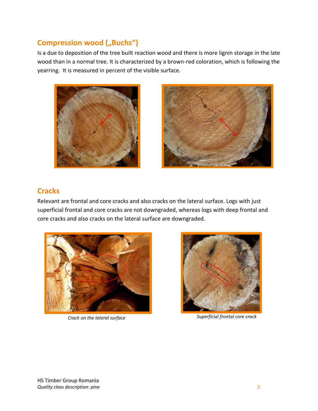## **Compression wood ("Buchs")**

Is a due to deposition of the tree built reaction wood and there is more lignin storage in the late wood than in a normal tree. It is characterized by a brown-red coloration, which is following the yearring. It is measured in percent of the visible surface.





## **Cracks**

Relevant are frontal and core cracks and also cracks on the lateral surface. Logs with just superficial frontal and core cracks are not downgraded, whereas logs with deep frontal and core cracks and also cracks on the lateral surface are downgraded.





**Crack on the lateral surface Superficial frontal core crack**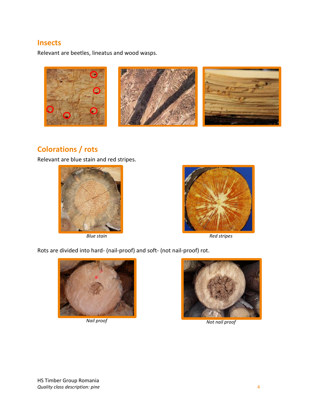#### **Insects**

Relevant are beetles, lineatus and wood wasps.



## **Colorations / rots**

Relevant are blue stain and red stripes.





*Blue stain Red stripes*

Rots are divided into hard- (nail-proof) and soft- (not nail-proof) rot.



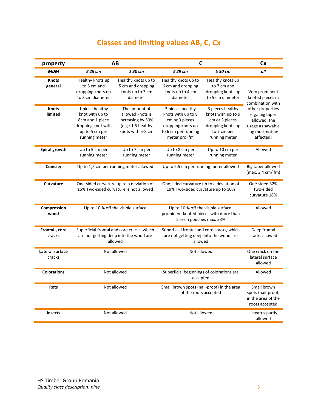# **Classes and limiting values AB, C, Cx**

| property                         | AB                                                                                                             |                                                                                                   | $\mathsf{C}$                                                                                                          |                                                                                                               | <b>Cx</b>                                                                                               |
|----------------------------------|----------------------------------------------------------------------------------------------------------------|---------------------------------------------------------------------------------------------------|-----------------------------------------------------------------------------------------------------------------------|---------------------------------------------------------------------------------------------------------------|---------------------------------------------------------------------------------------------------------|
| <b>MDM</b>                       | $\leq$ 29 cm                                                                                                   | $\geq$ 30 cm                                                                                      | $\leq$ 29 cm                                                                                                          | $\geq$ 30 cm                                                                                                  | all                                                                                                     |
| <b>Knots</b><br>general          | Healthy knots up<br>to 5 cm and<br>dropping knots up<br>to 3 cm diameter                                       | Healthy knots up to<br>5 cm and dropping<br>knots up to 3 cm<br>diameter                          | Healthy knots up to<br>6 cm and dropping<br>knots up to 4 cm<br>diameter                                              | Healthy knots up<br>to 7 cm and<br>dropping knots up<br>to 5 cm diameter                                      | Very prominent<br>knoted pieces in<br>combination with                                                  |
| <b>Knots</b><br>limited          | 1 piece healthy<br>knot with up to<br>8cm and 1 piece<br>dropping knot with<br>up to 5 cm per<br>running meter | The amount of<br>allowed knots is<br>increasing by 50%<br>(e.g.: 1.5 healthy<br>knots with 5-8 cm | 3 pieces healthy<br>knots with up to 8<br>cm or 3 pieces<br>dropping knots up<br>to 6 cm per running<br>meter pro Ifm | 3 pieces healthy<br>knots with up to 9<br>cm or 3 pieces<br>dropping knots up<br>to 7 cm per<br>running meter | other properties<br>e.g.: big taper<br>allowed; the<br>usage as sawable<br>log must not be<br>affected! |
| Spiral growth                    | Up to 5 cm per<br>running meter                                                                                | Up to 7 cm per<br>running meter                                                                   | Up to 8 cm per<br>running meter                                                                                       | Up to 10 cm per<br>running meter                                                                              | Allowed                                                                                                 |
| Conicity                         | Up to 1,5 cm per running meter allowed<br>Up to 2,5 cm per running meter allowed                               |                                                                                                   | Big taper allowed<br>(max. 3,4 cm/lfm)                                                                                |                                                                                                               |                                                                                                         |
| <b>Curvature</b>                 | One-sided curvature up to a deviation of<br>15% Two-sided curvature is not allowed                             |                                                                                                   | One-sided curvature up to a deviation of<br>19% Two-sided curvature up to 10%                                         |                                                                                                               | One-sided 32%<br>two-sided<br>curvature 18%                                                             |
| Compression<br>wood              | Up to 10 % off the visible surface                                                                             |                                                                                                   | Up to 10 % off the visible surface;<br>prominent knoted pieces with more than<br>5 resin pouches max. 33%             |                                                                                                               | Allowed                                                                                                 |
| Frontal-, core<br>cracks         | Superficial frontal and core cracks, which<br>are not getting deep into the wood are<br>allowed                |                                                                                                   | Superficial frontal and core cracks, which<br>are not getting deep into the wood are<br>allowed                       |                                                                                                               | Deep frontal<br>cracks allowed                                                                          |
| <b>Lateral surface</b><br>cracks | Not allowed                                                                                                    |                                                                                                   | Not allowed                                                                                                           |                                                                                                               | One crack on the<br>lateral surface<br>allowed                                                          |
| <b>Colorations</b>               | Not allowed                                                                                                    |                                                                                                   | Superficial beginnings of colorations are<br>accepted                                                                 |                                                                                                               | Allowed                                                                                                 |
| <b>Rots</b>                      | Not allowed                                                                                                    |                                                                                                   | Small brown spots (nail-proof) in the area<br>of the roots accepted                                                   |                                                                                                               | Small brown<br>spots (nail-proof)<br>in the area of the<br>roots accepted                               |
| Insects                          | Not allowed                                                                                                    |                                                                                                   | Not allowed                                                                                                           |                                                                                                               | Lineatus partly<br>allowed                                                                              |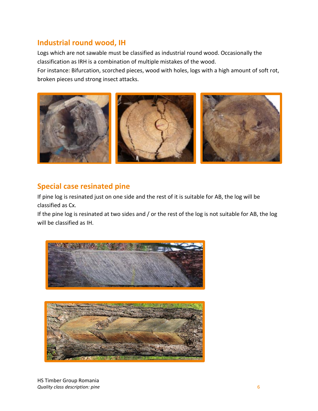#### **Industrial round wood, IH**

Logs which are not sawable must be classified as industrial round wood. Occasionally the classification as IRH is a combination of multiple mistakes of the wood.

For instance: Bifurcation, scorched pieces, wood with holes, logs with a high amount of soft rot, broken pieces und strong insect attacks.



## **Special case resinated pine**

If pine log is resinated just on one side and the rest of it is suitable for AB, the log will be classified as Cx.

If the pine log is resinated at two sides and / or the rest of the log is not suitable for AB, the log will be classified as IH.